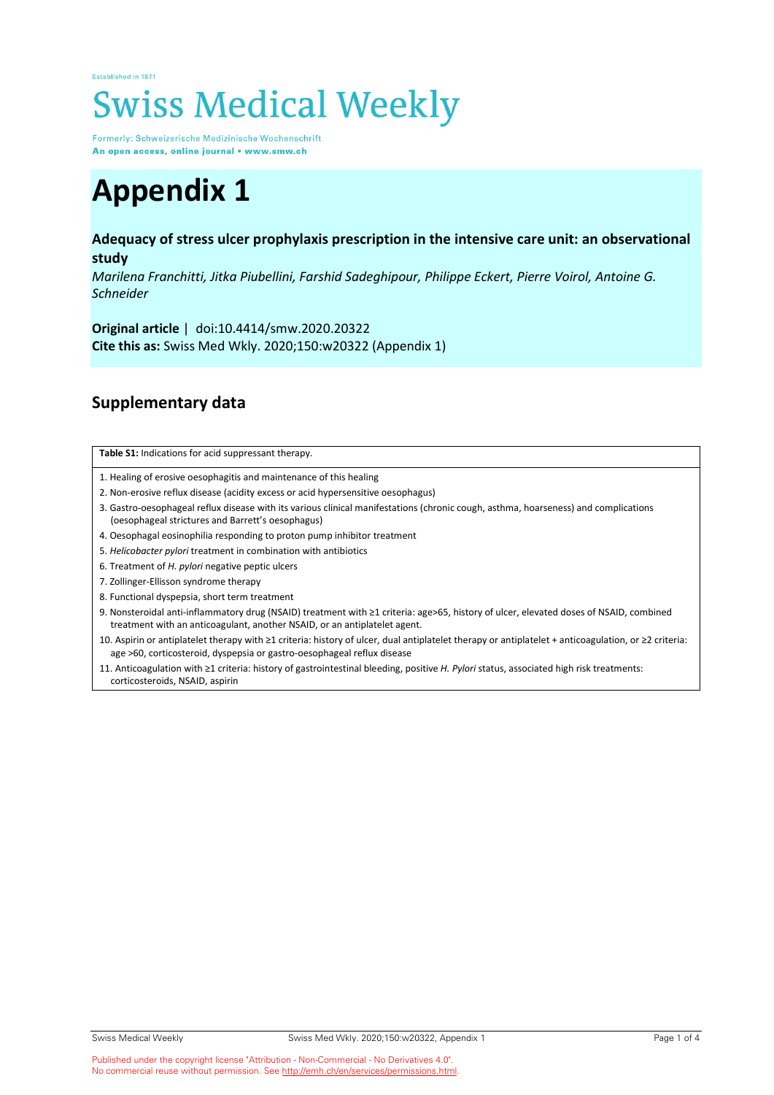## Established in 1871 **Swiss Medical Weekly**

Formerly: Schweizerische Medizinische Wochenschrift An open access, online journal • www.smw.ch

## **Appendix 1**

## **Adequacy of stress ulcer prophylaxis prescription in the intensive care unit: an observational study**

*Marilena Franchitti, Jitka Piubellini, Farshid Sadeghipour, Philippe Eckert, Pierre Voirol, Antoine G. Schneider*

**Original article** | doi:10.4414/smw.2020.20322 **Cite this as:** Swiss Med Wkly. 2020;150:w20322 (Appendix 1)

## **Supplementary data**

|  | Table S1: Indications for acid suppressant therapy. |
|--|-----------------------------------------------------|
|--|-----------------------------------------------------|

- 1. Healing of erosive oesophagitis and maintenance of this healing
- 2. Non-erosive reflux disease (acidity excess or acid hypersensitive oesophagus)
- 3. Gastro-oesophageal reflux disease with its various clinical manifestations (chronic cough, asthma, hoarseness) and complications (oesophageal strictures and Barrett's oesophagus)
- 4. Oesophagal eosinophilia responding to proton pump inhibitor treatment
- 5. *Helicobacter pylori* treatment in combination with antibiotics
- 6. Treatment of *H. pylori* negative peptic ulcers
- 7. Zollinger-Ellisson syndrome therapy
- 8. Functional dyspepsia, short term treatment
- 9. Nonsteroidal anti-inflammatory drug (NSAID) treatment with ≥1 criteria: age>65, history of ulcer, elevated doses of NSAID, combined treatment with an anticoagulant, another NSAID, or an antiplatelet agent.
- 10. Aspirin or antiplatelet therapy with ≥1 criteria: history of ulcer, dual antiplatelet therapy or antiplatelet + anticoagulation, or ≥2 criteria: age >60, corticosteroid, dyspepsia or gastro-oesophageal reflux disease
- 11. Anticoagulation with ≥1 criteria: history of gastrointestinal bleeding, positive *H. Pylori* status, associated high risk treatments: corticosteroids, NSAID, aspirin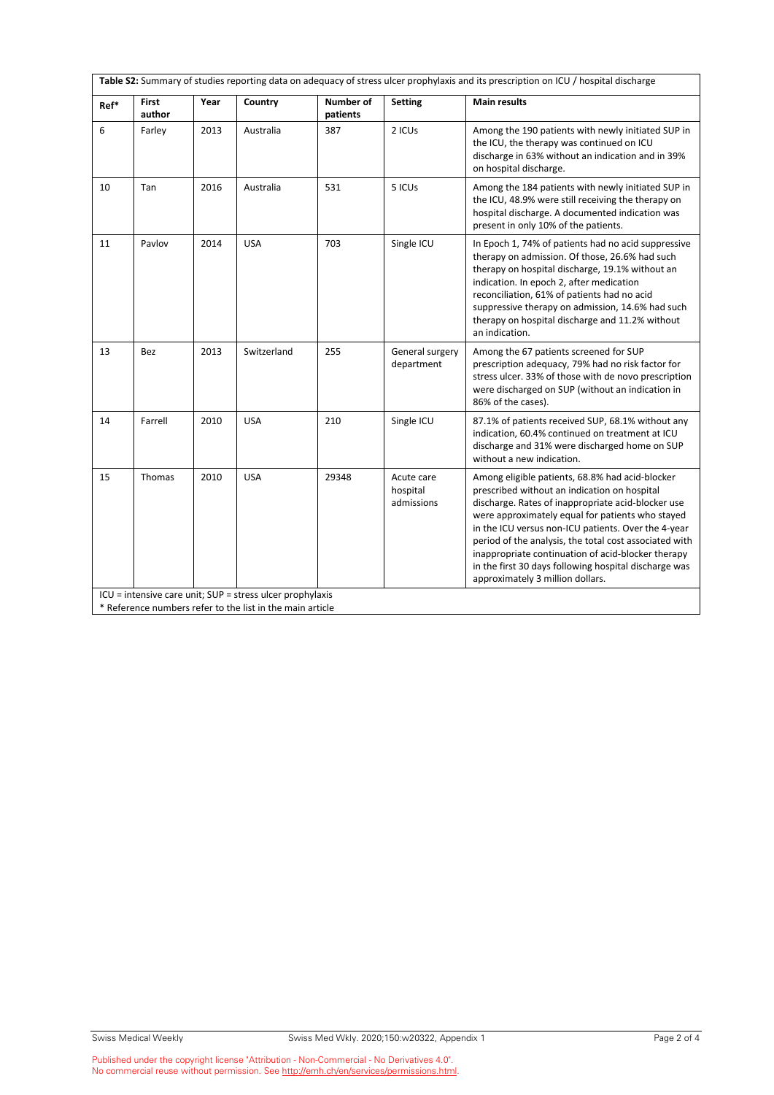| <b>Number of</b><br><b>First</b><br>Country<br>Year<br><b>Setting</b><br>Ref*<br>author<br>patients<br>6<br>Farley<br>2013<br>Australia<br>387<br>2 ICUs | <b>Main results</b><br>Among the 190 patients with newly initiated SUP in<br>the ICU, the therapy was continued on ICU                                                                                                                                                                                                                                                                                                                                                        |
|----------------------------------------------------------------------------------------------------------------------------------------------------------|-------------------------------------------------------------------------------------------------------------------------------------------------------------------------------------------------------------------------------------------------------------------------------------------------------------------------------------------------------------------------------------------------------------------------------------------------------------------------------|
|                                                                                                                                                          |                                                                                                                                                                                                                                                                                                                                                                                                                                                                               |
|                                                                                                                                                          | discharge in 63% without an indication and in 39%<br>on hospital discharge.                                                                                                                                                                                                                                                                                                                                                                                                   |
| 5 ICUs<br>10<br>Tan<br>2016<br>Australia<br>531                                                                                                          | Among the 184 patients with newly initiated SUP in<br>the ICU, 48.9% were still receiving the therapy on<br>hospital discharge. A documented indication was<br>present in only 10% of the patients.                                                                                                                                                                                                                                                                           |
| 703<br>Single ICU<br>11<br>Pavlov<br>2014<br><b>USA</b>                                                                                                  | In Epoch 1, 74% of patients had no acid suppressive<br>therapy on admission. Of those, 26.6% had such<br>therapy on hospital discharge, 19.1% without an<br>indication. In epoch 2, after medication<br>reconciliation, 61% of patients had no acid<br>suppressive therapy on admission, 14.6% had such<br>therapy on hospital discharge and 11.2% without<br>an indication.                                                                                                  |
| 13<br>2013<br>Switzerland<br>255<br>General surgery<br><b>Bez</b><br>department                                                                          | Among the 67 patients screened for SUP<br>prescription adequacy, 79% had no risk factor for<br>stress ulcer. 33% of those with de novo prescription<br>were discharged on SUP (without an indication in<br>86% of the cases).                                                                                                                                                                                                                                                 |
| 14<br>Farrell<br>2010<br><b>USA</b><br>210<br>Single ICU                                                                                                 | 87.1% of patients received SUP, 68.1% without any<br>indication, 60.4% continued on treatment at ICU<br>discharge and 31% were discharged home on SUP<br>without a new indication.                                                                                                                                                                                                                                                                                            |
| 15<br>Thomas<br>2010<br><b>USA</b><br>29348<br>Acute care<br>hospital<br>admissions<br>ICU = intensive care unit; SUP = stress ulcer prophylaxis         | Among eligible patients, 68.8% had acid-blocker<br>prescribed without an indication on hospital<br>discharge. Rates of inappropriate acid-blocker use<br>were approximately equal for patients who stayed<br>in the ICU versus non-ICU patients. Over the 4-year<br>period of the analysis, the total cost associated with<br>inappropriate continuation of acid-blocker therapy<br>in the first 30 days following hospital discharge was<br>approximately 3 million dollars. |

\* Reference numbers refer to the list in the main article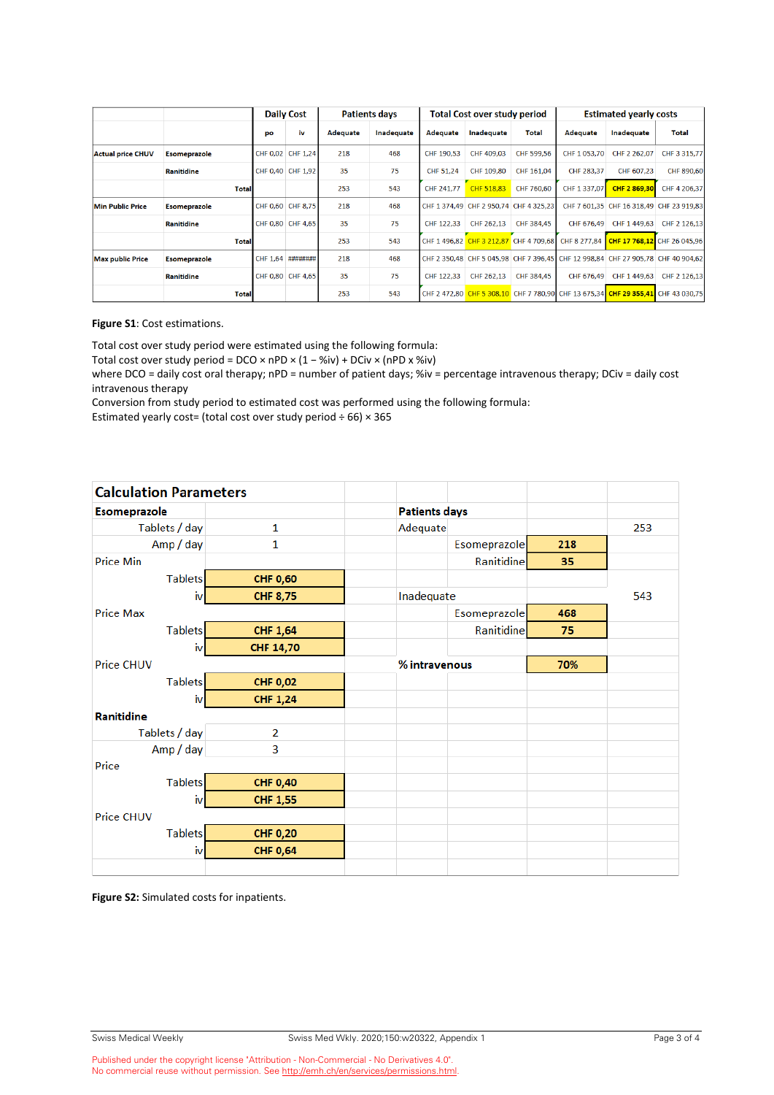|                          |                     | <b>Daily Cost</b> |                   | <b>Patients days</b> |            | <b>Total Cost over study period</b> |                                        |              | <b>Estimated yearly costs</b> |                                                                                  |              |
|--------------------------|---------------------|-------------------|-------------------|----------------------|------------|-------------------------------------|----------------------------------------|--------------|-------------------------------|----------------------------------------------------------------------------------|--------------|
|                          |                     | po                | iv                | Adequate             | Inadequate | Adequate                            | <b>Inadequate</b>                      | <b>Total</b> | Adequate                      | <b>Inadequate</b>                                                                | <b>Total</b> |
| <b>Actual price CHUV</b> | <b>Esomeprazole</b> |                   | CHF 0.02 CHF 1.24 | 218                  | 468        | CHF 190,53                          | CHF 409.03                             | CHF 599,56   | CHF 1 053,70                  | CHF 2 262,07                                                                     | CHF 3 315,77 |
|                          | <b>Ranitidine</b>   |                   | CHF 0,40 CHF 1,92 | 35                   | 75         | CHF 51,24                           | CHF 109,80                             | CHF 161,04   | CHF 283,37                    | CHF 607,23                                                                       | CHF 890,60   |
|                          | <b>Total</b>        |                   |                   | 253                  | 543        | CHF 241,77                          | CHF 518.83                             | CHF 760.60   | CHF 1 337,07                  | CHF 2 869.30                                                                     | CHF 4 206,37 |
| Min Public Price         | <b>Esomeprazole</b> |                   | CHF 0,60 CHF 8,75 | 218                  | 468        |                                     | CHF 1 374,49 CHF 2 950,74 CHF 4 325,23 |              |                               | CHF 7 601,35 CHF 16 318,49 CHF 23 919,83                                         |              |
|                          | Ranitidine          |                   | CHF 0.80 CHF 4.65 | 35                   | 75         | CHF 122.33                          | CHF 262.13                             | CHF 384.45   | CHF 676.49                    | CHF 1 449.63                                                                     | CHF 2 126,13 |
|                          | <b>Total</b>        |                   |                   | 253                  | 543        |                                     | CHF 1 496,82 CHF 3 212,87 CHF 4 709,68 |              | CHF 8 277.84                  | CHF 17 768,12 CHF 26 045,96                                                      |              |
| <b>Max public Price</b>  | <b>Esomeprazole</b> |                   | CHF 1.64 ######## | 218                  | 468        |                                     |                                        |              |                               | CHF 2 350.48 CHF 5 045.98 CHF 7 396.45 CHF 12 998.84 CHF 27 905.78 CHF 40 904.62 |              |
|                          | <b>Ranitidine</b>   |                   | CHF 0,80 CHF 4,65 | 35                   | 75         | CHF 122.33                          | CHF 262.13                             | CHF 384.45   | CHF 676.49                    | CHF 1 449.63                                                                     | CHF 2 126.13 |
|                          | <b>Total</b>        |                   |                   | 253                  | 543        |                                     |                                        |              |                               | CHF 2 472.80 CHF 5 308.10 CHF 7 780.90 CHF 13 675.34 CHF 29 355.41 CHF 43 030.75 |              |

**Figure S1**: Cost estimations.

Total cost over study period were estimated using the following formula:

Total cost over study period = DCO × nPD × (1 − %iv) + DCiv × (nPD x %iv)

where DCO = daily cost oral therapy; nPD = number of patient days; %iv = percentage intravenous therapy; DCiv = daily cost intravenous therapy

Conversion from study period to estimated cost was performed using the following formula:

Estimated yearly cost= (total cost over study period  $\div$  66)  $\times$  365

| <b>Calculation Parameters</b> |                  |                      |               |     |     |  |
|-------------------------------|------------------|----------------------|---------------|-----|-----|--|
| <b>Esomeprazole</b>           |                  | <b>Patients days</b> |               |     |     |  |
| Tablets / day                 | $\mathbf{1}$     | Adequate             |               |     | 253 |  |
| Amp / day                     | 1                |                      | Esomeprazole  | 218 |     |  |
| <b>Price Min</b>              |                  |                      | Ranitidine    | 35  |     |  |
| <b>Tablets</b>                | <b>CHF 0,60</b>  |                      |               |     |     |  |
| iv                            | <b>CHF 8,75</b>  | Inadequate           |               |     | 543 |  |
| <b>Price Max</b>              |                  |                      | Esomeprazole  | 468 |     |  |
| <b>Tablets</b>                | <b>CHF 1,64</b>  |                      | Ranitidine    | 75  |     |  |
| iv                            | <b>CHF 14,70</b> |                      |               |     |     |  |
| <b>Price CHUV</b>             |                  |                      | % intravenous |     |     |  |
| <b>Tablets</b>                | <b>CHF 0,02</b>  |                      |               |     |     |  |
| iv                            | <b>CHF 1,24</b>  |                      |               |     |     |  |
| Ranitidine                    |                  |                      |               |     |     |  |
| Tablets / day                 | 2                |                      |               |     |     |  |
| Amp / day                     | 3                |                      |               |     |     |  |
| Price                         |                  |                      |               |     |     |  |
| <b>Tablets</b>                | <b>CHF 0,40</b>  |                      |               |     |     |  |
| iv                            | <b>CHF 1,55</b>  |                      |               |     |     |  |
| Price CHUV                    |                  |                      |               |     |     |  |
| <b>Tablets</b>                | <b>CHF 0,20</b>  |                      |               |     |     |  |
| iv                            | <b>CHF 0,64</b>  |                      |               |     |     |  |
|                               |                  |                      |               |     |     |  |

**Figure S2:** Simulated costs for inpatients.